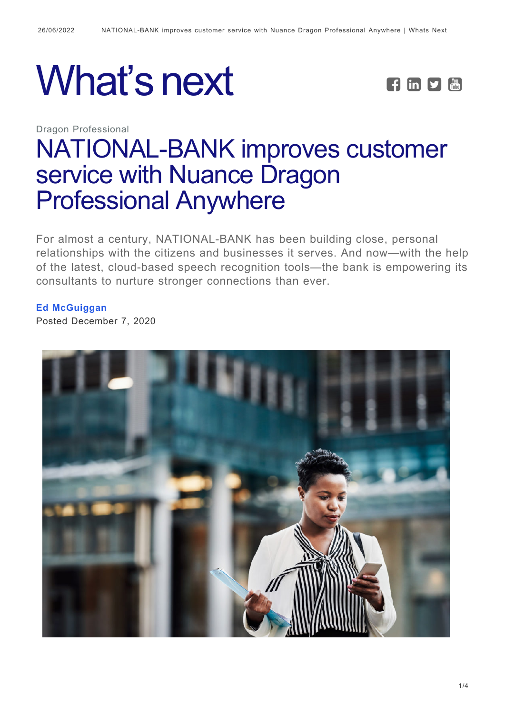# What's next **FEPE**

Dragon Professional



# [NATIONAL-BANK improves customer](https://whatsnext.nuance.com/dragon-professional/national-bank_speech_recognition_story/) [service with Nuance Dragon](https://whatsnext.nuance.com/dragon-professional/national-bank_speech_recognition_story/) [Professional Anywhere](https://whatsnext.nuance.com/dragon-professional/national-bank_speech_recognition_story/)

For almost a century, NATIONAL-BANK has been building close, personal relationships with the citizens and businesses it serves. And now—with the help of the latest, cloud-based speech recognition tools—the bank is empowering its consultants to nurture stronger connections than ever.

#### **[Ed McGuiggan](https://whatsnext.nuance.com/author/edmcguiggan/)**

Posted December 7, 2020

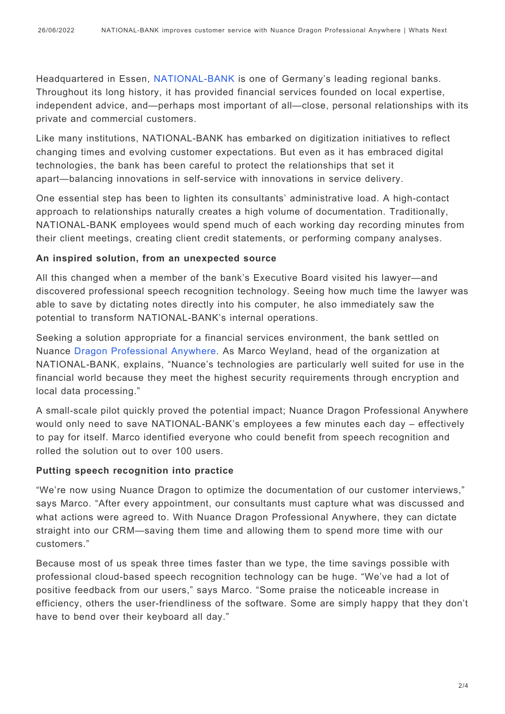Headquartered in Essen, [NATIONAL-BANK](https://www.national-bank.de/en/) is one of Germany's leading regional banks. Throughout its long history, it has provided financial services founded on local expertise, independent advice, and—perhaps most important of all—close, personal relationships with its private and commercial customers.

Like many institutions, NATIONAL-BANK has embarked on digitization initiatives to reflect changing times and evolving customer expectations. But even as it has embraced digital technologies, the bank has been careful to protect the relationships that set it apart—balancing innovations in self-service with innovations in service delivery.

One essential step has been to lighten its consultants' administrative load. A high-contact approach to relationships naturally creates a high volume of documentation. Traditionally, NATIONAL-BANK employees would spend much of each working day recording minutes from their client meetings, creating client credit statements, or performing company analyses.

#### **An inspired solution, from an unexpected source**

All this changed when a member of the bank's Executive Board visited his lawyer—and discovered professional speech recognition technology. Seeing how much time the lawyer was able to save by dictating notes directly into his computer, he also immediately saw the potential to transform NATIONAL-BANK's internal operations.

Seeking a solution appropriate for a financial services environment, the bank settled on Nuance [Dragon Professional Anywhere](https://www.nuance.com/dragon/business-solutions/dragon-professional-anywhere.html). As Marco Weyland, head of the organization at NATIONAL-BANK, explains, "Nuance's technologies are particularly well suited for use in the financial world because they meet the highest security requirements through encryption and local data processing."

A small-scale pilot quickly proved the potential impact; Nuance Dragon Professional Anywhere would only need to save NATIONAL-BANK's employees a few minutes each day – effectively to pay for itself. Marco identified everyone who could benefit from speech recognition and rolled the solution out to over 100 users.

#### **Putting speech recognition into practice**

"We're now using Nuance Dragon to optimize the documentation of our customer interviews," says Marco. "After every appointment, our consultants must capture what was discussed and what actions were agreed to. With Nuance Dragon Professional Anywhere, they can dictate straight into our CRM—saving them time and allowing them to spend more time with our customers."

Because most of us speak three times faster than we type, the time savings possible with professional cloud-based speech recognition technology can be huge. "We've had a lot of positive feedback from our users," says Marco. "Some praise the noticeable increase in efficiency, others the user-friendliness of the software. Some are simply happy that they don't have to bend over their keyboard all day."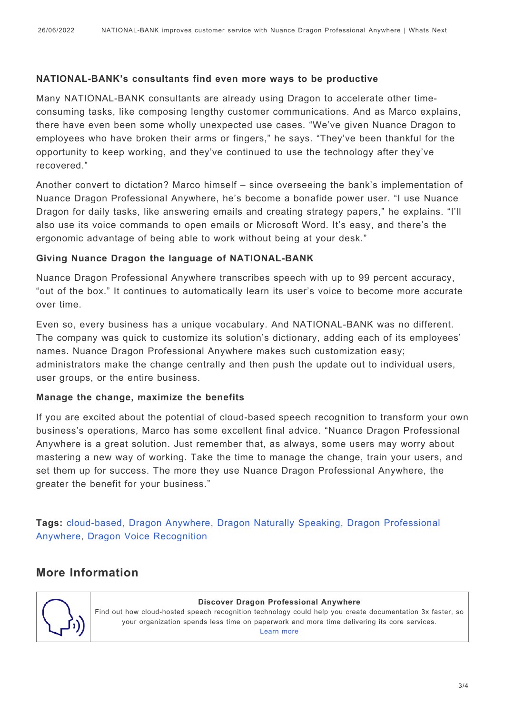#### **NATIONAL-BANK's consultants find even more ways to be productive**

Many NATIONAL-BANK consultants are already using Dragon to accelerate other timeconsuming tasks, like composing lengthy customer communications. And as Marco explains, there have even been some wholly unexpected use cases. "We've given Nuance Dragon to employees who have broken their arms or fingers," he says. "They've been thankful for the opportunity to keep working, and they've continued to use the technology after they've recovered."

Another convert to dictation? Marco himself – since overseeing the bank's implementation of Nuance Dragon Professional Anywhere, he's become a bonafide power user. "I use Nuance Dragon for daily tasks, like answering emails and creating strategy papers," he explains. "I'll also use its voice commands to open emails or Microsoft Word. It's easy, and there's the ergonomic advantage of being able to work without being at your desk."

#### **Giving Nuance Dragon the language of NATIONAL-BANK**

Nuance Dragon Professional Anywhere transcribes speech with up to 99 percent accuracy, "out of the box." It continues to automatically learn its user's voice to become more accurate over time.

Even so, every business has a unique vocabulary. And NATIONAL-BANK was no different. The company was quick to customize its solution's dictionary, adding each of its employees' names. Nuance Dragon Professional Anywhere makes such customization easy; administrators make the change centrally and then push the update out to individual users, user groups, or the entire business.

#### **Manage the change, maximize the benefits**

If you are excited about the potential of cloud-based speech recognition to transform your own business's operations, Marco has some excellent final advice. "Nuance Dragon Professional Anywhere is a great solution. Just remember that, as always, some users may worry about mastering a new way of working. Take the time to manage the change, train your users, and set them up for success. The more they use Nuance Dragon Professional Anywhere, the greater the benefit for your business."

**Tags:** [cloud-based](https://whatsnext.nuance.com/tag/cloud-based/), [Dragon Anywhere](https://whatsnext.nuance.com/tag/dragon-anywhere/), [Dragon Naturally Speaking,](https://whatsnext.nuance.com/tag/dragon-naturallyspeaking/) [Dragon Professional](https://whatsnext.nuance.com/tag/dragon-professional-anywhere-2/) [Anywhere,](https://whatsnext.nuance.com/tag/dragon-professional-anywhere-2/) [Dragon Voice Recognition](https://whatsnext.nuance.com/tag/dragon-voice-recognition/)

## **More Information**



#### **Discover Dragon Professional Anywhere**

Find out how cloud-hosted speech recognition technology could help you create documentation 3x faster, so your organization spends less time on paperwork and more time delivering its core services. [Learn more](https://www.nuance.com/dragon/business-solutions/dragon-professional-anywhere.html)